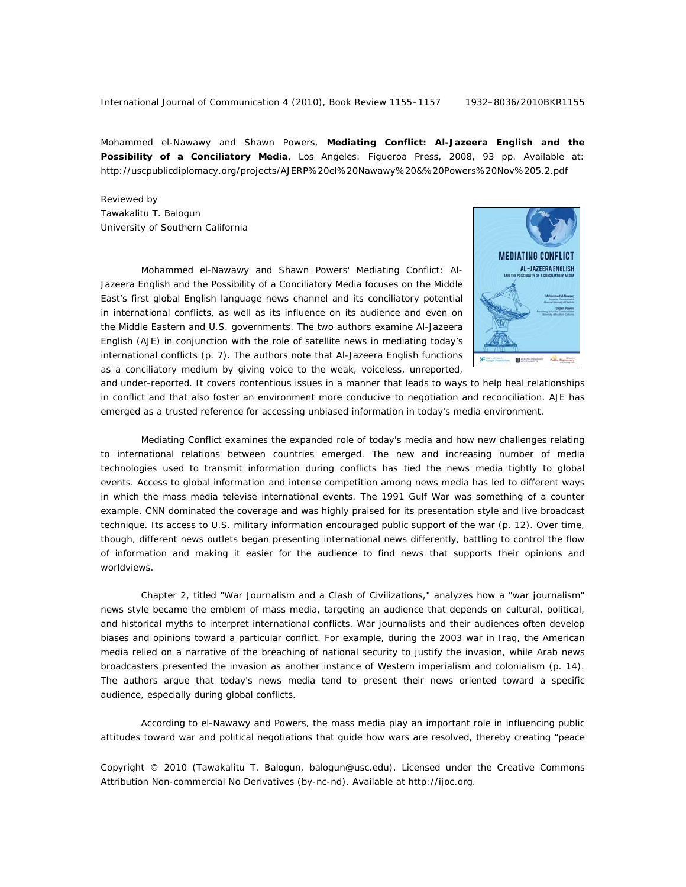Mohammed el-Nawawy and Shawn Powers, **Mediating Conflict: Al-Jazeera English and the Possibility of a Conciliatory Media**, Los Angeles: Figueroa Press, 2008, 93 pp. Available at: http://uscpublicdiplomacy.org/projects/AJERP%20el%20Nawawy%20&%20Powers%20Nov%205.2.pdf

Reviewed by Tawakalitu T. Balogun University of Southern California

Mohammed el-Nawawy and Shawn Powers' *Mediating Conflict: Al-Jazeera English and the Possibility of a Conciliatory Media* focuses on the Middle East's first global English language news channel and its conciliatory potential in international conflicts, as well as its influence on its audience and even on the Middle Eastern and U.S. governments. The two authors examine Al-Jazeera English (AJE) in conjunction with the role of satellite news in mediating today's international conflicts (p. 7). The authors note that Al-Jazeera English functions as a conciliatory medium by giving voice to the weak, voiceless, unreported,



and under-reported. It covers contentious issues in a manner that leads to ways to help heal relationships in conflict and that also foster an environment more conducive to negotiation and reconciliation. AJE has emerged as a trusted reference for accessing unbiased information in today's media environment.

*Mediating Conflict* examines the expanded role of today's media and how new challenges relating to international relations between countries emerged. The new and increasing number of media technologies used to transmit information during conflicts has tied the news media tightly to global events. Access to global information and intense competition among news media has led to different ways in which the mass media televise international events. The 1991 Gulf War was something of a counter example. CNN dominated the coverage and was highly praised for its presentation style and live broadcast technique. Its access to U.S. military information encouraged public support of the war (p. 12). Over time, though, different news outlets began presenting international news differently, battling to control the flow of information and making it easier for the audience to find news that supports their opinions and worldviews.

 Chapter 2, titled "War Journalism and a Clash of Civilizations," analyzes how a "war journalism" news style became the emblem of mass media, targeting an audience that depends on cultural, political, and historical myths to interpret international conflicts. War journalists and their audiences often develop biases and opinions toward a particular conflict. For example, during the 2003 war in Iraq, the American media relied on a narrative of the breaching of national security to justify the invasion, while Arab news broadcasters presented the invasion as another instance of Western imperialism and colonialism (p. 14). The authors argue that today's news media tend to present their news oriented toward a specific audience, especially during global conflicts.

 According to el-Nawawy and Powers, the mass media play an important role in influencing public attitudes toward war and political negotiations that guide how wars are resolved, thereby creating "peace

Copyright © 2010 (Tawakalitu T. Balogun, balogun@usc.edu). Licensed under the Creative Commons Attribution Non-commercial No Derivatives (by-nc-nd). Available at http://ijoc.org.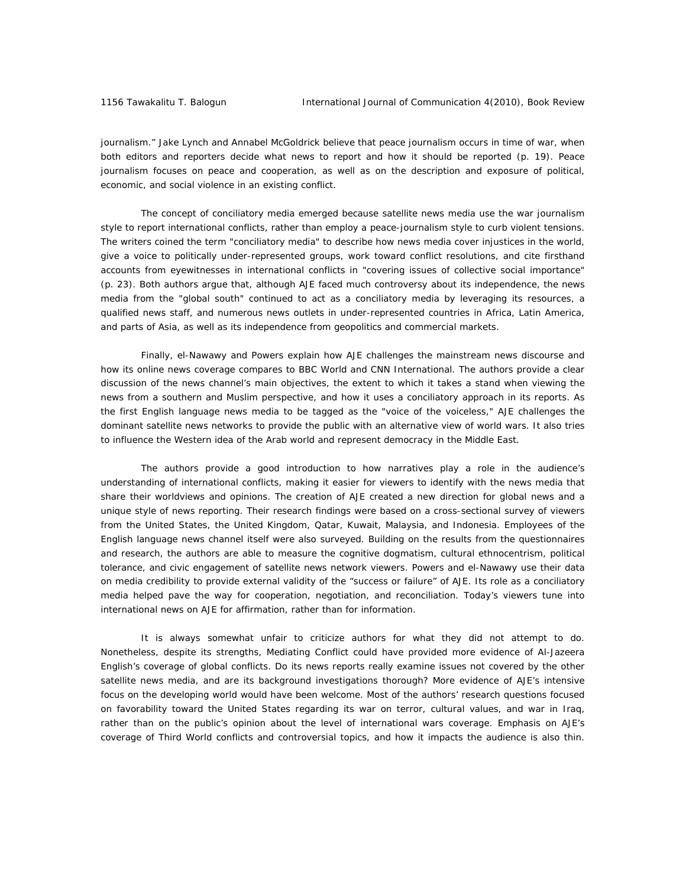journalism." Jake Lynch and Annabel McGoldrick believe that peace journalism occurs in time of war, when both editors and reporters decide what news to report and how it should be reported (p. 19). Peace journalism focuses on peace and cooperation, as well as on the description and exposure of political, economic, and social violence in an existing conflict.

 The concept of conciliatory media emerged because satellite news media use the war journalism style to report international conflicts, rather than employ a peace-journalism style to curb violent tensions. The writers coined the term "conciliatory media" to describe how news media cover injustices in the world, give a voice to politically under-represented groups, work toward conflict resolutions, and cite firsthand accounts from eyewitnesses in international conflicts in "covering issues of collective social importance" (p. 23). Both authors argue that, although AJE faced much controversy about its independence, the news media from the "global south" continued to act as a conciliatory media by leveraging its resources, a qualified news staff, and numerous news outlets in under-represented countries in Africa, Latin America, and parts of Asia, as well as its independence from geopolitics and commercial markets.

 Finally, el-Nawawy and Powers explain how AJE challenges the mainstream news discourse and how its online news coverage compares to BBC World and CNN International. The authors provide a clear discussion of the news channel's main objectives, the extent to which it takes a stand when viewing the news from a southern and Muslim perspective, and how it uses a conciliatory approach in its reports. As the first English language news media to be tagged as the "voice of the voiceless," AJE challenges the dominant satellite news networks to provide the public with an alternative view of world wars. It also tries to influence the Western idea of the Arab world and represent democracy in the Middle East.

 The authors provide a good introduction to how narratives play a role in the audience's understanding of international conflicts, making it easier for viewers to identify with the news media that share their worldviews and opinions. The creation of AJE created a new direction for global news and a unique style of news reporting. Their research findings were based on a cross-sectional survey of viewers from the United States, the United Kingdom, Qatar, Kuwait, Malaysia, and Indonesia. Employees of the English language news channel itself were also surveyed. Building on the results from the questionnaires and research, the authors are able to measure the cognitive dogmatism, cultural ethnocentrism, political tolerance, and civic engagement of satellite news network viewers. Powers and el-Nawawy use their data on media credibility to provide external validity of the "success or failure" of AJE. Its role as a conciliatory media helped pave the way for cooperation, negotiation, and reconciliation. Today's viewers tune into international news on AJE for affirmation, rather than for information.

 It is always somewhat unfair to criticize authors for what they did not attempt to do. Nonetheless, despite its strengths, *Mediating Conflict* could have provided more evidence of Al-Jazeera English's coverage of global conflicts. Do its news reports really examine issues not covered by the other satellite news media, and are its background investigations thorough? More evidence of AJE'*s* intensive focus on the developing world would have been welcome. Most of the authors' research questions focused on favorability toward the United States regarding its war on terror, cultural values, and war in Iraq, rather than on the public's opinion about the level of international wars coverage. Emphasis on AJE's coverage of Third World conflicts and controversial topics, and how it impacts the audience is also thin.